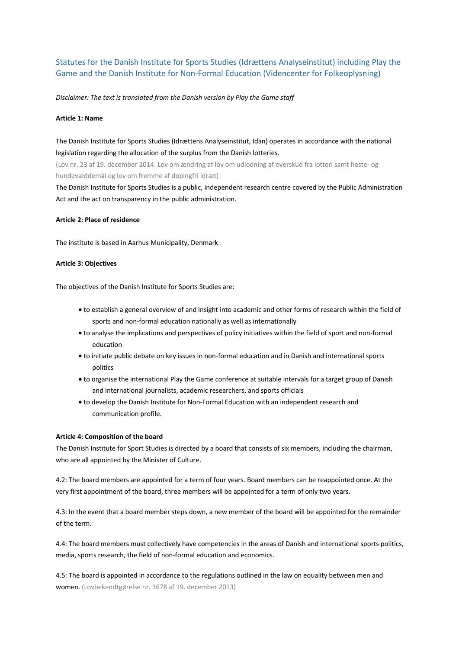# Statutes for the Danish Institute for Sports Studies (Idrættens Analyseinstitut) including Play the Game and the Danish Institute for Non-Formal Education (Videncenter for Folkeoplysning)

*Disclaimer: The text is translated from the Danish version by Play the Game staff*

#### **Article 1: Name**

# The Danish Institute for Sports Studies (Idrættens Analyseinstitut, Idan) operates in accordance with the national legislation regarding the allocation of the surplus from the Danish lotteries.

(Lov nr. 23 af 19. december 2014: Lov om ændring af lov om udlodning af overskud fra lotteri samt heste- og hundevæddemål og lov om fremme af dopingfri idræt)

The Danish Institute for Sports Studies is a public, independent research centre covered by the Public Administration Act and the act on transparency in the public administration.

#### **Article 2: Place of residence**

The institute is based in Aarhus Municipality, Denmark.

### **Article 3: Objectives**

The objectives of the Danish Institute for Sports Studies are:

- to establish a general overview of and insight into academic and other forms of research within the field of sports and non-formal education nationally as well as internationally
- to analyse the implications and perspectives of policy initiatives within the field of sport and non-formal education
- to initiate public debate on key issues in non-formal education and in Danish and international sports politics
- to organise the international Play the Game conference at suitable intervals for a target group of Danish and international journalists, academic researchers, and sports officials
- to develop the Danish Institute for Non-Formal Education with an independent research and communication profile.

#### **Article 4: Composition of the board**

The Danish Institute for Sport Studies is directed by a board that consists of six members, including the chairman, who are all appointed by the Minister of Culture.

4.2: The board members are appointed for a term of four years. Board members can be reappointed once. At the very first appointment of the board, three members will be appointed for a term of only two years.

4.3: In the event that a board member steps down, a new member of the board will be appointed for the remainder of the term.

4.4: The board members must collectively have competencies in the areas of Danish and international sports politics, media, sports research, the field of non-formal education and economics.

4.5: The board is appointed in accordance to the regulations outlined in the law on equality between men and women. (Lovbekendtgørelse nr. 1678 af 19. december 2013)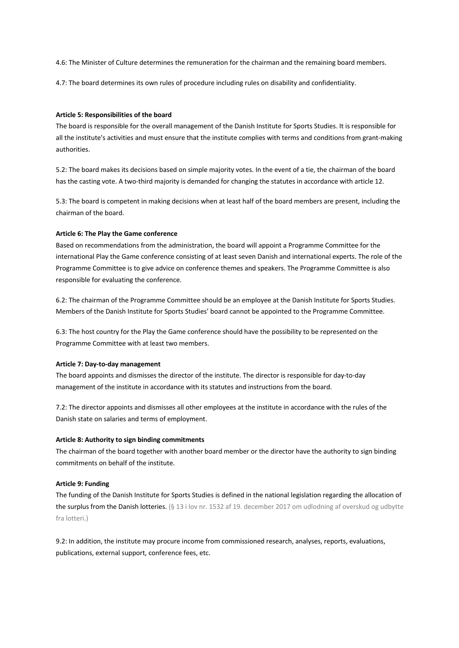4.6: The Minister of Culture determines the remuneration for the chairman and the remaining board members.

4.7: The board determines its own rules of procedure including rules on disability and confidentiality.

## **Article 5: Responsibilities of the board**

The board is responsible for the overall management of the Danish Institute for Sports Studies. It is responsible for all the institute's activities and must ensure that the institute complies with terms and conditions from grant-making authorities.

5.2: The board makes its decisions based on simple majority votes. In the event of a tie, the chairman of the board has the casting vote. A two-third majority is demanded for changing the statutes in accordance with article 12.

5.3: The board is competent in making decisions when at least half of the board members are present, including the chairman of the board.

## **Article 6: The Play the Game conference**

Based on recommendations from the administration, the board will appoint a Programme Committee for the international Play the Game conference consisting of at least seven Danish and international experts. The role of the Programme Committee is to give advice on conference themes and speakers. The Programme Committee is also responsible for evaluating the conference.

6.2: The chairman of the Programme Committee should be an employee at the Danish Institute for Sports Studies. Members of the Danish Institute for Sports Studies' board cannot be appointed to the Programme Committee.

6.3: The host country for the Play the Game conference should have the possibility to be represented on the Programme Committee with at least two members.

#### **Article 7: Day-to-day management**

The board appoints and dismisses the director of the institute. The director is responsible for day-to-day management of the institute in accordance with its statutes and instructions from the board.

7.2: The director appoints and dismisses all other employees at the institute in accordance with the rules of the Danish state on salaries and terms of employment.

#### **Article 8: Authority to sign binding commitments**

The chairman of the board together with another board member or the director have the authority to sign binding commitments on behalf of the institute.

## **Article 9: Funding**

The funding of the Danish Institute for Sports Studies is defined in the national legislation regarding the allocation of the surplus from the Danish lotteries. (§ 13 i lov nr. 1532 af 19. december 2017 om udlodning af overskud og udbytte fra lotteri.)

9.2: In addition, the institute may procure income from commissioned research, analyses, reports, evaluations, publications, external support, conference fees, etc.